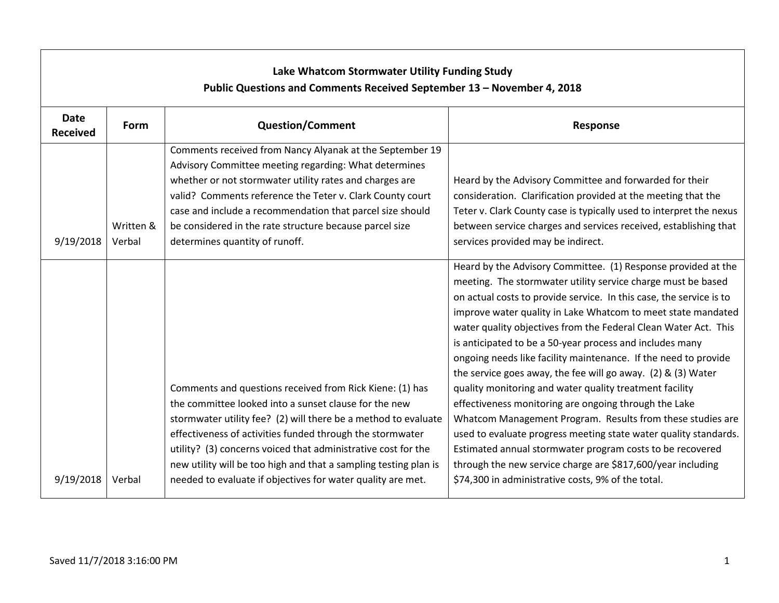| Lake Whatcom Stormwater Utility Funding Study<br>Public Questions and Comments Received September 13 - November 4, 2018 |                     |                                                                                                                                                                                                                                                                                                                                                                                                     |                                                                                                                                                                                                                                                                                                                                                                                                                                                                                                                                                                                                                                                                                                                                                                                                                                                                                                                          |  |  |
|-------------------------------------------------------------------------------------------------------------------------|---------------------|-----------------------------------------------------------------------------------------------------------------------------------------------------------------------------------------------------------------------------------------------------------------------------------------------------------------------------------------------------------------------------------------------------|--------------------------------------------------------------------------------------------------------------------------------------------------------------------------------------------------------------------------------------------------------------------------------------------------------------------------------------------------------------------------------------------------------------------------------------------------------------------------------------------------------------------------------------------------------------------------------------------------------------------------------------------------------------------------------------------------------------------------------------------------------------------------------------------------------------------------------------------------------------------------------------------------------------------------|--|--|
| <b>Date</b><br><b>Received</b>                                                                                          | Form                | <b>Question/Comment</b>                                                                                                                                                                                                                                                                                                                                                                             | <b>Response</b>                                                                                                                                                                                                                                                                                                                                                                                                                                                                                                                                                                                                                                                                                                                                                                                                                                                                                                          |  |  |
| 9/19/2018                                                                                                               | Written &<br>Verbal | Comments received from Nancy Alyanak at the September 19<br>Advisory Committee meeting regarding: What determines<br>whether or not stormwater utility rates and charges are<br>valid? Comments reference the Teter v. Clark County court<br>case and include a recommendation that parcel size should<br>be considered in the rate structure because parcel size<br>determines quantity of runoff. | Heard by the Advisory Committee and forwarded for their<br>consideration. Clarification provided at the meeting that the<br>Teter v. Clark County case is typically used to interpret the nexus<br>between service charges and services received, establishing that<br>services provided may be indirect.                                                                                                                                                                                                                                                                                                                                                                                                                                                                                                                                                                                                                |  |  |
|                                                                                                                         |                     | Comments and questions received from Rick Kiene: (1) has<br>the committee looked into a sunset clause for the new<br>stormwater utility fee? (2) will there be a method to evaluate<br>effectiveness of activities funded through the stormwater<br>utility? (3) concerns voiced that administrative cost for the<br>new utility will be too high and that a sampling testing plan is               | Heard by the Advisory Committee. (1) Response provided at the<br>meeting. The stormwater utility service charge must be based<br>on actual costs to provide service. In this case, the service is to<br>improve water quality in Lake Whatcom to meet state mandated<br>water quality objectives from the Federal Clean Water Act. This<br>is anticipated to be a 50-year process and includes many<br>ongoing needs like facility maintenance. If the need to provide<br>the service goes away, the fee will go away. (2) & (3) Water<br>quality monitoring and water quality treatment facility<br>effectiveness monitoring are ongoing through the Lake<br>Whatcom Management Program. Results from these studies are<br>used to evaluate progress meeting state water quality standards.<br>Estimated annual stormwater program costs to be recovered<br>through the new service charge are \$817,600/year including |  |  |
| 9/19/2018                                                                                                               | Verbal              | needed to evaluate if objectives for water quality are met.                                                                                                                                                                                                                                                                                                                                         | \$74,300 in administrative costs, 9% of the total.                                                                                                                                                                                                                                                                                                                                                                                                                                                                                                                                                                                                                                                                                                                                                                                                                                                                       |  |  |